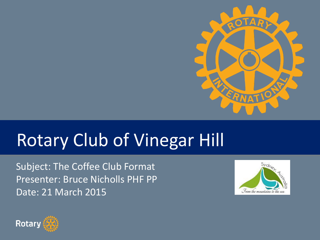

# Rotary Club of Vinegar Hill

Subject: The Coffee Club Format Presenter: Bruce Nicholls PHF PP Date: 21 March 2015



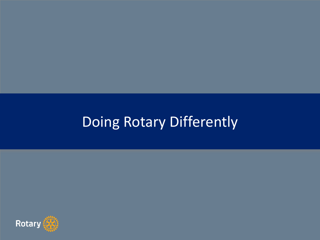# Doing Rotary Differently

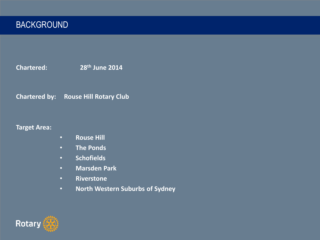**Chartered: 28th June 2014**

**Chartered by: Rouse Hill Rotary Club**

**Target Area:**

- **Rouse Hill**
- **The Ponds**
- **Schofields**
- **Marsden Park**
- **Riverstone**
- **North Western Suburbs of Sydney**

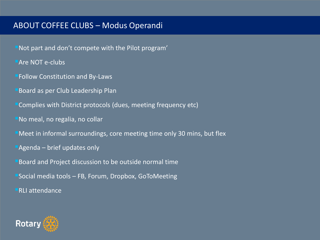#### ABOUT COFFEE CLUBS – Modus Operandi

- Not part and don't compete with the Pilot program'
- **Are NOT e-clubs**
- **Follow Constitution and By-Laws**
- **Board as per Club Leadership Plan**
- Complies with District protocols (dues, meeting frequency etc)
- No meal, no regalia, no collar
- Meet in informal surroundings, core meeting time only 30 mins, but flex
- Agenda brief updates only
- **Board and Project discussion to be outside normal time**
- $\blacksquare$ Social media tools FB, Forum, Dropbox, GoToMeeting
- ■RLI attendance

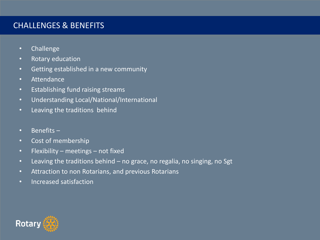### CHALLENGES & BENEFITS

- Challenge
- Rotary education
- Getting established in a new community
- Attendance
- Establishing fund raising streams
- Understanding Local/National/International
- Leaving the traditions behind
- Benefits –
- Cost of membership
- Flexibility meetings not fixed
- Leaving the traditions behind no grace, no regalia, no singing, no Sgt
- Attraction to non Rotarians, and previous Rotarians
- Increased satisfaction